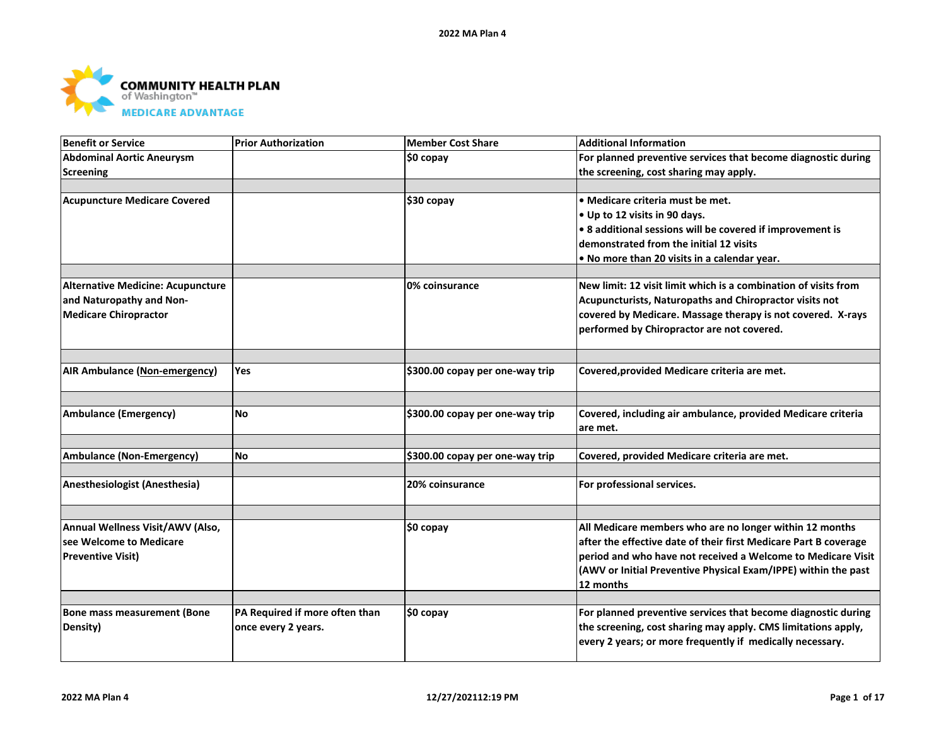

| <b>Benefit or Service</b>                | <b>Prior Authorization</b>     | <b>Member Cost Share</b>        | <b>Additional Information</b>                                    |
|------------------------------------------|--------------------------------|---------------------------------|------------------------------------------------------------------|
| <b>Abdominal Aortic Aneurysm</b>         |                                | \$0 copay                       | For planned preventive services that become diagnostic during    |
| <b>Screening</b>                         |                                |                                 | the screening, cost sharing may apply.                           |
|                                          |                                |                                 |                                                                  |
| <b>Acupuncture Medicare Covered</b>      |                                | \$30 copay                      | • Medicare criteria must be met.                                 |
|                                          |                                |                                 | • Up to 12 visits in 90 days.                                    |
|                                          |                                |                                 | • 8 additional sessions will be covered if improvement is        |
|                                          |                                |                                 | demonstrated from the initial 12 visits                          |
|                                          |                                |                                 | . No more than 20 visits in a calendar year.                     |
|                                          |                                |                                 |                                                                  |
| <b>Alternative Medicine: Acupuncture</b> |                                | 0% coinsurance                  | New limit: 12 visit limit which is a combination of visits from  |
| and Naturopathy and Non-                 |                                |                                 | Acupuncturists, Naturopaths and Chiropractor visits not          |
| <b>Medicare Chiropractor</b>             |                                |                                 | covered by Medicare. Massage therapy is not covered. X-rays      |
|                                          |                                |                                 | performed by Chiropractor are not covered.                       |
|                                          |                                |                                 |                                                                  |
| <b>AIR Ambulance (Non-emergency)</b>     | Yes                            | \$300.00 copay per one-way trip | Covered, provided Medicare criteria are met.                     |
|                                          |                                |                                 |                                                                  |
| <b>Ambulance (Emergency)</b>             | <b>No</b>                      | \$300.00 copay per one-way trip | Covered, including air ambulance, provided Medicare criteria     |
|                                          |                                |                                 | are met.                                                         |
|                                          |                                |                                 |                                                                  |
| <b>Ambulance (Non-Emergency)</b>         | lNo.                           | \$300.00 copay per one-way trip | Covered, provided Medicare criteria are met.                     |
|                                          |                                |                                 |                                                                  |
| Anesthesiologist (Anesthesia)            |                                | 20% coinsurance                 | For professional services.                                       |
|                                          |                                |                                 |                                                                  |
| Annual Wellness Visit/AWV (Also,         |                                | ∣\$0 copay                      | All Medicare members who are no longer within 12 months          |
| see Welcome to Medicare                  |                                |                                 | after the effective date of their first Medicare Part B coverage |
| <b>Preventive Visit)</b>                 |                                |                                 | period and who have not received a Welcome to Medicare Visit     |
|                                          |                                |                                 | (AWV or Initial Preventive Physical Exam/IPPE) within the past   |
|                                          |                                |                                 | 12 months                                                        |
|                                          |                                |                                 |                                                                  |
| <b>Bone mass measurement (Bone</b>       | PA Required if more often than | \$0 copay                       | For planned preventive services that become diagnostic during    |
| Density)                                 | once every 2 years.            |                                 | the screening, cost sharing may apply. CMS limitations apply,    |
|                                          |                                |                                 | every 2 years; or more frequently if medically necessary.        |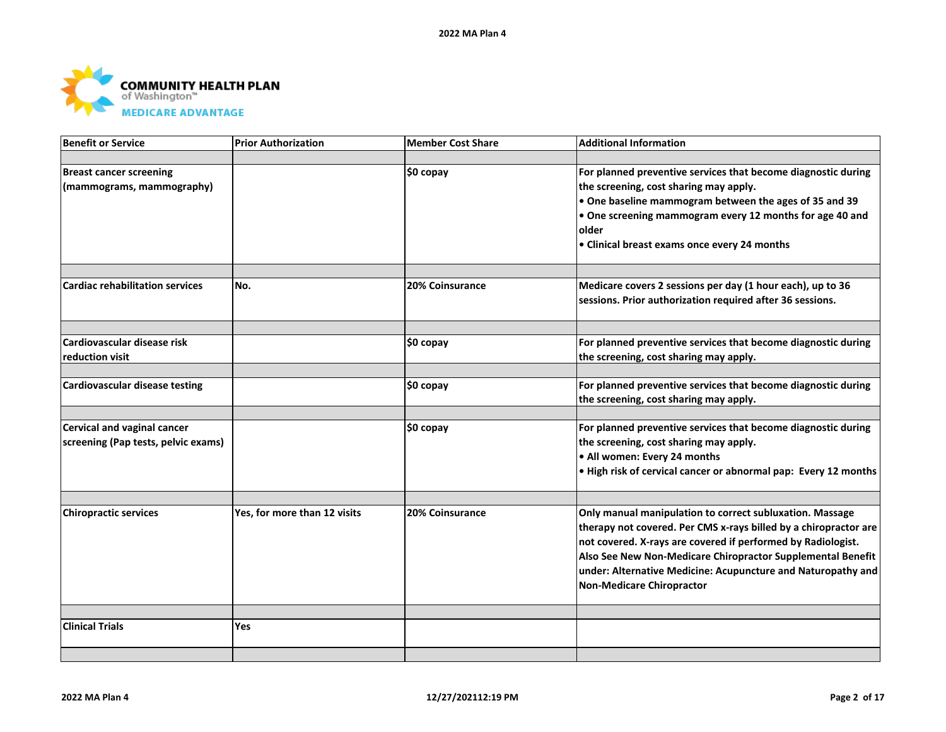

| <b>Benefit or Service</b>              | <b>Prior Authorization</b>   | <b>Member Cost Share</b> | <b>Additional Information</b>                                    |
|----------------------------------------|------------------------------|--------------------------|------------------------------------------------------------------|
|                                        |                              |                          |                                                                  |
| <b>Breast cancer screening</b>         |                              | \$0 copay                | For planned preventive services that become diagnostic during    |
| (mammograms, mammography)              |                              |                          | the screening, cost sharing may apply.                           |
|                                        |                              |                          | . One baseline mammogram between the ages of 35 and 39           |
|                                        |                              |                          | • One screening mammogram every 12 months for age 40 and         |
|                                        |                              |                          | older                                                            |
|                                        |                              |                          | • Clinical breast exams once every 24 months                     |
|                                        |                              |                          |                                                                  |
|                                        |                              |                          |                                                                  |
| <b>Cardiac rehabilitation services</b> | No.                          | 20% Coinsurance          | Medicare covers 2 sessions per day (1 hour each), up to 36       |
|                                        |                              |                          | sessions. Prior authorization required after 36 sessions.        |
|                                        |                              |                          |                                                                  |
| Cardiovascular disease risk            |                              | \$0 copay                | For planned preventive services that become diagnostic during    |
| reduction visit                        |                              |                          | the screening, cost sharing may apply.                           |
|                                        |                              |                          |                                                                  |
| <b>Cardiovascular disease testing</b>  |                              | \$0 copay                | For planned preventive services that become diagnostic during    |
|                                        |                              |                          | the screening, cost sharing may apply.                           |
|                                        |                              |                          |                                                                  |
| Cervical and vaginal cancer            |                              | \$0 copay                | For planned preventive services that become diagnostic during    |
| screening (Pap tests, pelvic exams)    |                              |                          | the screening, cost sharing may apply.                           |
|                                        |                              |                          | • All women: Every 24 months                                     |
|                                        |                              |                          | . High risk of cervical cancer or abnormal pap: Every 12 months  |
|                                        |                              |                          |                                                                  |
| <b>Chiropractic services</b>           | Yes, for more than 12 visits | <b>20% Coinsurance</b>   | Only manual manipulation to correct subluxation. Massage         |
|                                        |                              |                          | therapy not covered. Per CMS x-rays billed by a chiropractor are |
|                                        |                              |                          | not covered. X-rays are covered if performed by Radiologist.     |
|                                        |                              |                          | Also See New Non-Medicare Chiropractor Supplemental Benefit      |
|                                        |                              |                          | under: Alternative Medicine: Acupuncture and Naturopathy and     |
|                                        |                              |                          | Non-Medicare Chiropractor                                        |
|                                        |                              |                          |                                                                  |
| <b>Clinical Trials</b>                 | Yes                          |                          |                                                                  |
|                                        |                              |                          |                                                                  |
|                                        |                              |                          |                                                                  |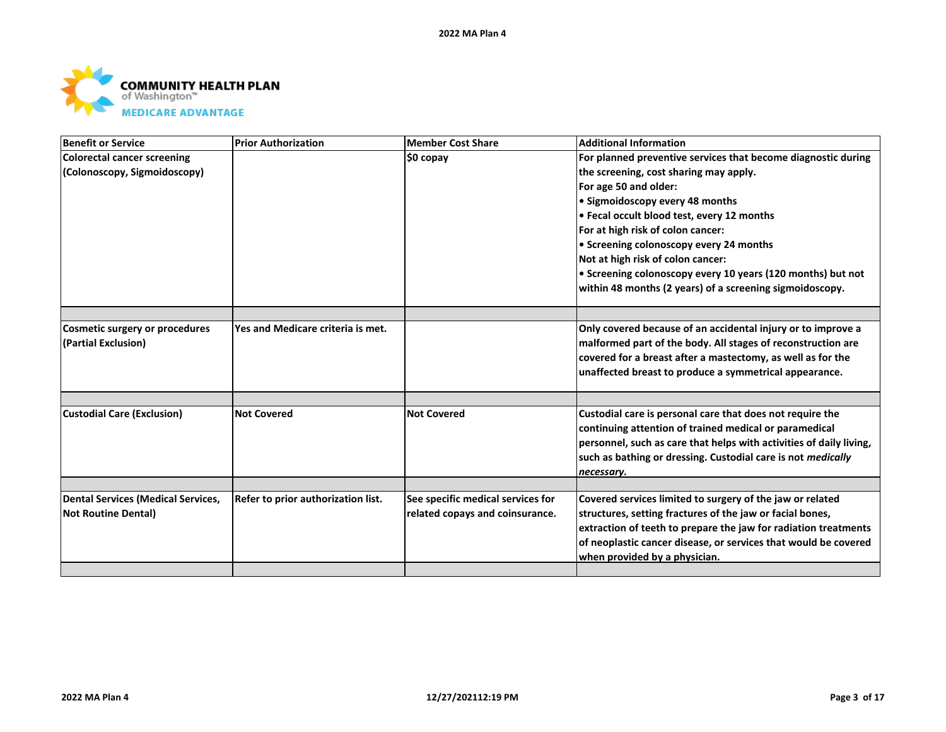

| <b>Benefit or Service</b>                 | <b>Prior Authorization</b>         | <b>Member Cost Share</b>          | <b>Additional Information</b>                                       |
|-------------------------------------------|------------------------------------|-----------------------------------|---------------------------------------------------------------------|
| <b>Colorectal cancer screening</b>        |                                    | ∣\$0 copay                        | For planned preventive services that become diagnostic during       |
| (Colonoscopy, Sigmoidoscopy)              |                                    |                                   | the screening, cost sharing may apply.                              |
|                                           |                                    |                                   | For age 50 and older:                                               |
|                                           |                                    |                                   | • Sigmoidoscopy every 48 months                                     |
|                                           |                                    |                                   | • Fecal occult blood test, every 12 months                          |
|                                           |                                    |                                   | For at high risk of colon cancer:                                   |
|                                           |                                    |                                   | • Screening colonoscopy every 24 months                             |
|                                           |                                    |                                   | Not at high risk of colon cancer:                                   |
|                                           |                                    |                                   | • Screening colonoscopy every 10 years (120 months) but not         |
|                                           |                                    |                                   | within 48 months (2 years) of a screening sigmoidoscopy.            |
|                                           |                                    |                                   |                                                                     |
| <b>Cosmetic surgery or procedures</b>     | Yes and Medicare criteria is met.  |                                   | Only covered because of an accidental injury or to improve a        |
| (Partial Exclusion)                       |                                    |                                   | malformed part of the body. All stages of reconstruction are        |
|                                           |                                    |                                   | covered for a breast after a mastectomy, as well as for the         |
|                                           |                                    |                                   | unaffected breast to produce a symmetrical appearance.              |
|                                           |                                    |                                   |                                                                     |
|                                           |                                    |                                   |                                                                     |
| <b>Custodial Care (Exclusion)</b>         | <b>Not Covered</b>                 | <b>Not Covered</b>                | Custodial care is personal care that does not require the           |
|                                           |                                    |                                   | continuing attention of trained medical or paramedical              |
|                                           |                                    |                                   | personnel, such as care that helps with activities of daily living, |
|                                           |                                    |                                   | such as bathing or dressing. Custodial care is not medically        |
|                                           |                                    |                                   | necessary.                                                          |
| <b>Dental Services (Medical Services,</b> | Refer to prior authorization list. | See specific medical services for | Covered services limited to surgery of the jaw or related           |
| <b>Not Routine Dental)</b>                |                                    | related copays and coinsurance.   | structures, setting fractures of the jaw or facial bones,           |
|                                           |                                    |                                   | extraction of teeth to prepare the jaw for radiation treatments     |
|                                           |                                    |                                   | of neoplastic cancer disease, or services that would be covered     |
|                                           |                                    |                                   | when provided by a physician.                                       |
|                                           |                                    |                                   |                                                                     |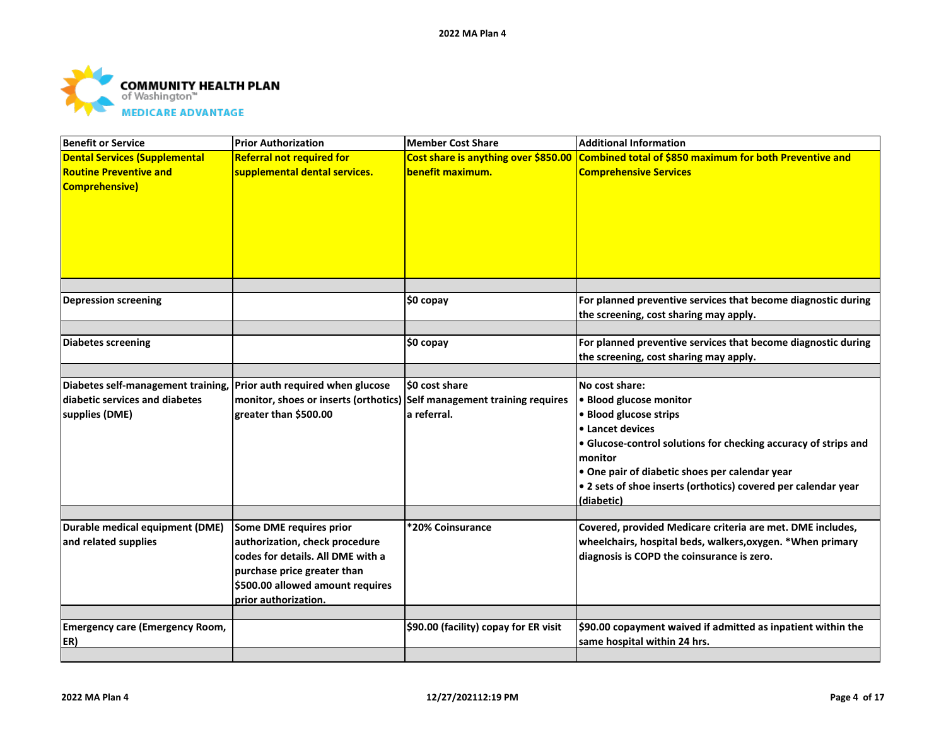

| <b>Benefit or Service</b>                                                                      | <b>Prior Authorization</b>                                                                                                                                                                | <b>Member Cost Share</b>              | <b>Additional Information</b>                                                                                                                                                                                                                                                                                                  |
|------------------------------------------------------------------------------------------------|-------------------------------------------------------------------------------------------------------------------------------------------------------------------------------------------|---------------------------------------|--------------------------------------------------------------------------------------------------------------------------------------------------------------------------------------------------------------------------------------------------------------------------------------------------------------------------------|
| <b>Dental Services (Supplemental</b><br><b>Routine Preventive and</b><br><b>Comprehensive)</b> | <b>Referral not required for</b><br>supplemental dental services.                                                                                                                         | benefit maximum.                      | Cost share is anything over \$850.00 Combined total of \$850 maximum for both Preventive and<br><b>Comprehensive Services</b>                                                                                                                                                                                                  |
| <b>Depression screening</b>                                                                    |                                                                                                                                                                                           | $$0$ copay                            | For planned preventive services that become diagnostic during<br>the screening, cost sharing may apply.                                                                                                                                                                                                                        |
| <b>Diabetes screening</b>                                                                      |                                                                                                                                                                                           | \$0 copay                             | For planned preventive services that become diagnostic during<br>the screening, cost sharing may apply.                                                                                                                                                                                                                        |
| Diabetes self-management training,<br>diabetic services and diabetes<br>supplies (DME)         | Prior auth required when glucose<br>monitor, shoes or inserts (orthotics) Self management training requires<br>greater than \$500.00                                                      | \$0 cost share<br>a referral.         | No cost share:<br>· Blood glucose monitor<br>• Blood glucose strips<br><b>.</b> Lancet devices<br>• Glucose-control solutions for checking accuracy of strips and<br><b>Imonitor</b><br>. One pair of diabetic shoes per calendar year<br>$\bullet$ 2 sets of shoe inserts (orthotics) covered per calendar year<br>(diabetic) |
| Durable medical equipment (DME)<br>and related supplies                                        | Some DME requires prior<br>authorization, check procedure<br>codes for details. All DME with a<br>purchase price greater than<br>\$500.00 allowed amount requires<br>prior authorization. | *20% Coinsurance                      | Covered, provided Medicare criteria are met. DME includes,<br>wheelchairs, hospital beds, walkers, oxygen. *When primary<br>diagnosis is COPD the coinsurance is zero.                                                                                                                                                         |
| <b>Emergency care (Emergency Room,</b><br>ER)                                                  |                                                                                                                                                                                           | \$90.00 (facility) copay for ER visit | \$90.00 copayment waived if admitted as inpatient within the<br>same hospital within 24 hrs.                                                                                                                                                                                                                                   |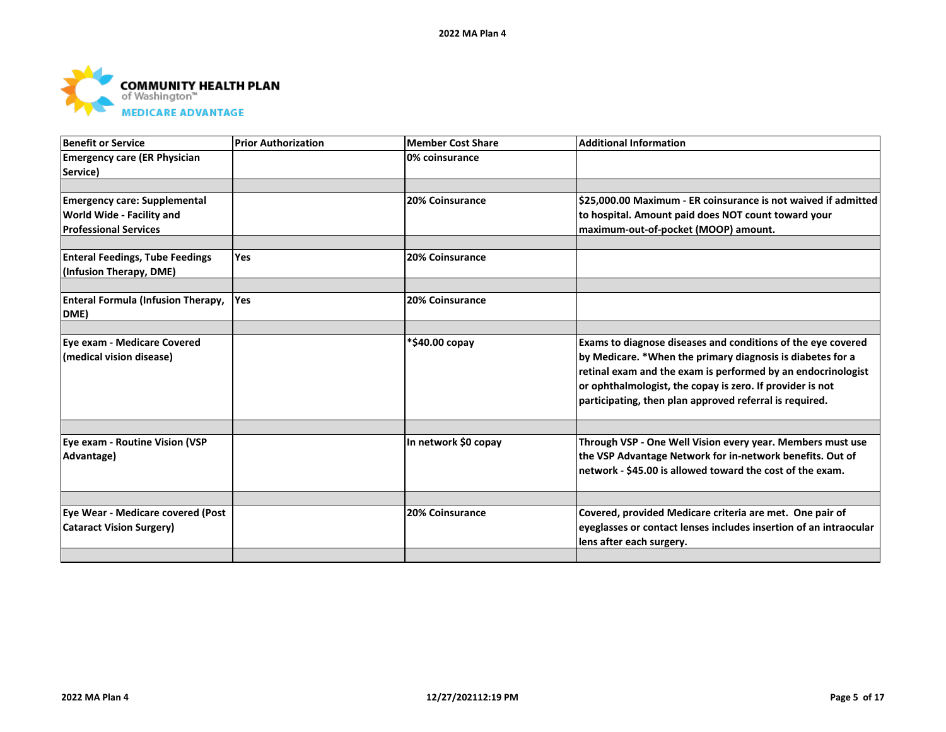

| <b>Benefit or Service</b>                 | <b>Prior Authorization</b> | Member Cost Share      | <b>Additional Information</b>                                                                 |
|-------------------------------------------|----------------------------|------------------------|-----------------------------------------------------------------------------------------------|
| <b>Emergency care (ER Physician</b>       |                            | 0% coinsurance         |                                                                                               |
| Service)                                  |                            |                        |                                                                                               |
|                                           |                            |                        |                                                                                               |
| <b>Emergency care: Supplemental</b>       |                            | 20% Coinsurance        | S25,000.00 Maximum - ER coinsurance is not waived if admitted                                 |
| World Wide - Facility and                 |                            |                        | to hospital. Amount paid does NOT count toward your                                           |
| <b>Professional Services</b>              |                            |                        | maximum-out-of-pocket (MOOP) amount.                                                          |
| <b>Enteral Feedings, Tube Feedings</b>    | <b>Yes</b>                 | <b>20% Coinsurance</b> |                                                                                               |
| (Infusion Therapy, DME)                   |                            |                        |                                                                                               |
| <b>Enteral Formula (Infusion Therapy,</b> | <b>Yes</b>                 | 20% Coinsurance        |                                                                                               |
| DME)                                      |                            |                        |                                                                                               |
|                                           |                            |                        |                                                                                               |
| Eye exam - Medicare Covered               |                            | *\$40.00 copay         | Exams to diagnose diseases and conditions of the eye covered                                  |
| (medical vision disease)                  |                            |                        | by Medicare. *When the primary diagnosis is diabetes for a                                    |
|                                           |                            |                        | retinal exam and the exam is performed by an endocrinologist                                  |
|                                           |                            |                        | or ophthalmologist, the copay is zero. If provider is not                                     |
|                                           |                            |                        | participating, then plan approved referral is required.                                       |
|                                           |                            |                        |                                                                                               |
| Eye exam - Routine Vision (VSP            |                            | In network \$0 copay   | Through VSP - One Well Vision every year. Members must use                                    |
| Advantage)                                |                            |                        | the VSP Advantage Network for in-network benefits. Out of                                     |
|                                           |                            |                        | network - \$45.00 is allowed toward the cost of the exam.                                     |
|                                           |                            |                        |                                                                                               |
| Eye Wear - Medicare covered (Post         |                            | 20% Coinsurance        | Covered, provided Medicare criteria are met. One pair of                                      |
| <b>Cataract Vision Surgery)</b>           |                            |                        | eyeglasses or contact lenses includes insertion of an intraocular<br>lens after each surgery. |
|                                           |                            |                        |                                                                                               |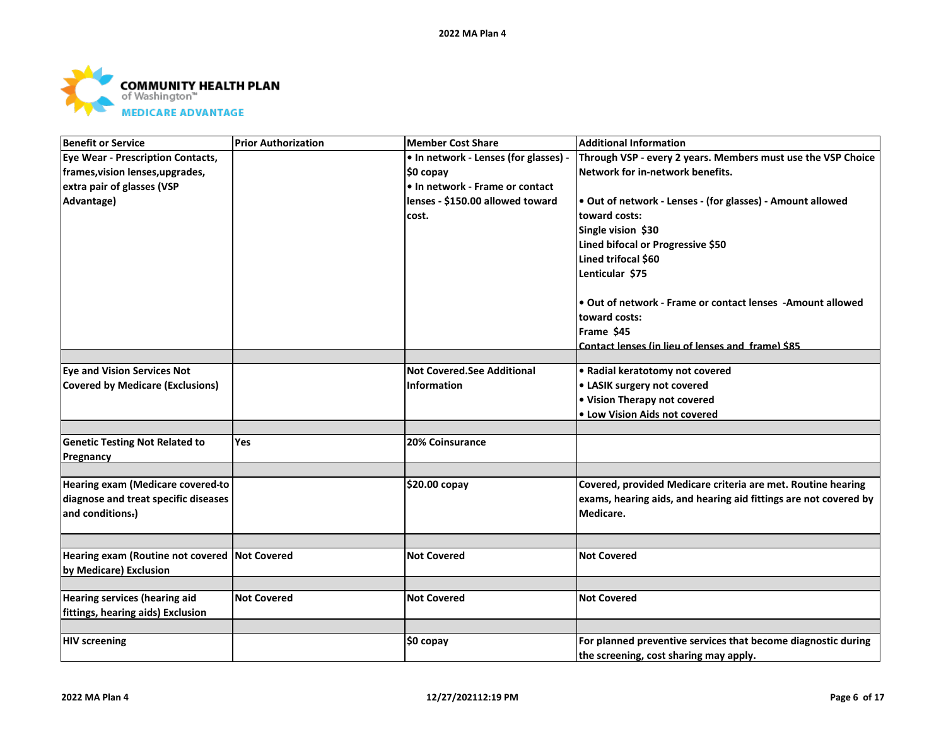

| <b>Benefit or Service</b>                                               | <b>Prior Authorization</b> | <b>Member Cost Share</b>              | <b>Additional Information</b>                                    |
|-------------------------------------------------------------------------|----------------------------|---------------------------------------|------------------------------------------------------------------|
| <b>Eye Wear - Prescription Contacts,</b>                                |                            | • In network - Lenses (for glasses) - | Through VSP - every 2 years. Members must use the VSP Choice     |
| frames, vision lenses, upgrades,                                        |                            | \$0 copay                             | Network for in-network benefits.                                 |
| extra pair of glasses (VSP                                              |                            | • In network - Frame or contact       |                                                                  |
| Advantage)                                                              |                            | lenses - \$150.00 allowed toward      | . Out of network - Lenses - (for glasses) - Amount allowed       |
|                                                                         |                            | cost.                                 | toward costs:                                                    |
|                                                                         |                            |                                       | Single vision \$30                                               |
|                                                                         |                            |                                       | Lined bifocal or Progressive \$50                                |
|                                                                         |                            |                                       | Lined trifocal \$60                                              |
|                                                                         |                            |                                       | Lenticular \$75                                                  |
|                                                                         |                            |                                       | • Out of network - Frame or contact lenses - Amount allowed      |
|                                                                         |                            |                                       | toward costs:                                                    |
|                                                                         |                            |                                       | Frame \$45                                                       |
|                                                                         |                            |                                       | Contact lenses (in lieu of lenses and frame) \$85                |
|                                                                         |                            |                                       |                                                                  |
| <b>Eye and Vision Services Not</b>                                      |                            | <b>Not Covered.See Additional</b>     | • Radial keratotomy not covered                                  |
| <b>Covered by Medicare (Exclusions)</b>                                 |                            | <b>Information</b>                    | • LASIK surgery not covered                                      |
|                                                                         |                            |                                       | • Vision Therapy not covered                                     |
|                                                                         |                            |                                       | • Low Vision Aids not covered                                    |
| <b>Genetic Testing Not Related to</b>                                   | Yes                        | 20% Coinsurance                       |                                                                  |
|                                                                         |                            |                                       |                                                                  |
| Pregnancy                                                               |                            |                                       |                                                                  |
| Hearing exam (Medicare covered-to                                       |                            | \$20.00 copay                         | Covered, provided Medicare criteria are met. Routine hearing     |
| diagnose and treat specific diseases                                    |                            |                                       | exams, hearing aids, and hearing aid fittings are not covered by |
| and conditions-)                                                        |                            |                                       | Medicare.                                                        |
|                                                                         |                            |                                       |                                                                  |
| Hearing exam (Routine not covered Not Covered<br>by Medicare) Exclusion |                            | <b>Not Covered</b>                    | <b>Not Covered</b>                                               |
|                                                                         |                            |                                       |                                                                  |
| <b>Hearing services (hearing aid</b>                                    | <b>Not Covered</b>         | <b>Not Covered</b>                    | <b>Not Covered</b>                                               |
| fittings, hearing aids) Exclusion                                       |                            |                                       |                                                                  |
|                                                                         |                            |                                       |                                                                  |
| <b>HIV screening</b>                                                    |                            | \$0 copay                             | For planned preventive services that become diagnostic during    |
|                                                                         |                            |                                       | the screening, cost sharing may apply.                           |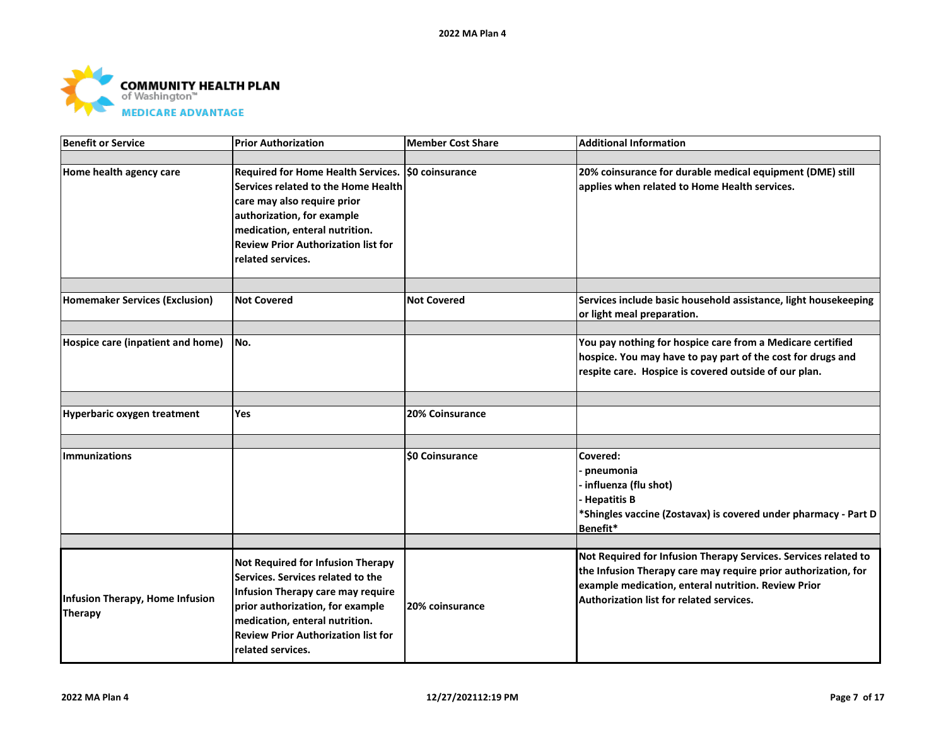

| <b>Benefit or Service</b>                         | <b>Prior Authorization</b>                                                                                                                                                                                                                                  | Member Cost Share     | <b>Additional Information</b>                                                                                                                                                                                                        |
|---------------------------------------------------|-------------------------------------------------------------------------------------------------------------------------------------------------------------------------------------------------------------------------------------------------------------|-----------------------|--------------------------------------------------------------------------------------------------------------------------------------------------------------------------------------------------------------------------------------|
|                                                   |                                                                                                                                                                                                                                                             |                       |                                                                                                                                                                                                                                      |
| Home health agency care                           | Required for Home Health Services. \$0 coinsurance<br>Services related to the Home Health<br>care may also require prior<br>authorization, for example<br>medication, enteral nutrition.<br><b>Review Prior Authorization list for</b><br>related services. |                       | 20% coinsurance for durable medical equipment (DME) still<br>applies when related to Home Health services.                                                                                                                           |
|                                                   |                                                                                                                                                                                                                                                             |                       |                                                                                                                                                                                                                                      |
| <b>Homemaker Services (Exclusion)</b>             | <b>Not Covered</b>                                                                                                                                                                                                                                          | <b>Not Covered</b>    | Services include basic household assistance, light housekeeping<br>or light meal preparation.                                                                                                                                        |
|                                                   |                                                                                                                                                                                                                                                             |                       |                                                                                                                                                                                                                                      |
| Hospice care (inpatient and home)                 | No.                                                                                                                                                                                                                                                         |                       | You pay nothing for hospice care from a Medicare certified<br>hospice. You may have to pay part of the cost for drugs and<br>respite care. Hospice is covered outside of our plan.                                                   |
|                                                   |                                                                                                                                                                                                                                                             |                       |                                                                                                                                                                                                                                      |
| Hyperbaric oxygen treatment                       | Yes                                                                                                                                                                                                                                                         | 20% Coinsurance       |                                                                                                                                                                                                                                      |
|                                                   |                                                                                                                                                                                                                                                             |                       |                                                                                                                                                                                                                                      |
| <b>Immunizations</b>                              |                                                                                                                                                                                                                                                             | <b>SO Coinsurance</b> | Covered:<br>pneumonia<br>influenza (flu shot)<br><b>Hepatitis B</b><br>*Shingles vaccine (Zostavax) is covered under pharmacy - Part D<br>Benefit*                                                                                   |
|                                                   |                                                                                                                                                                                                                                                             |                       |                                                                                                                                                                                                                                      |
| Infusion Therapy, Home Infusion<br><b>Therapy</b> | <b>Not Required for Infusion Therapy</b><br>Services. Services related to the<br>Infusion Therapy care may require<br>prior authorization, for example<br>medication, enteral nutrition.<br><b>Review Prior Authorization list for</b><br>related services. | 20% coinsurance       | Not Required for Infusion Therapy Services. Services related to<br>the Infusion Therapy care may require prior authorization, for<br>example medication, enteral nutrition. Review Prior<br>Authorization list for related services. |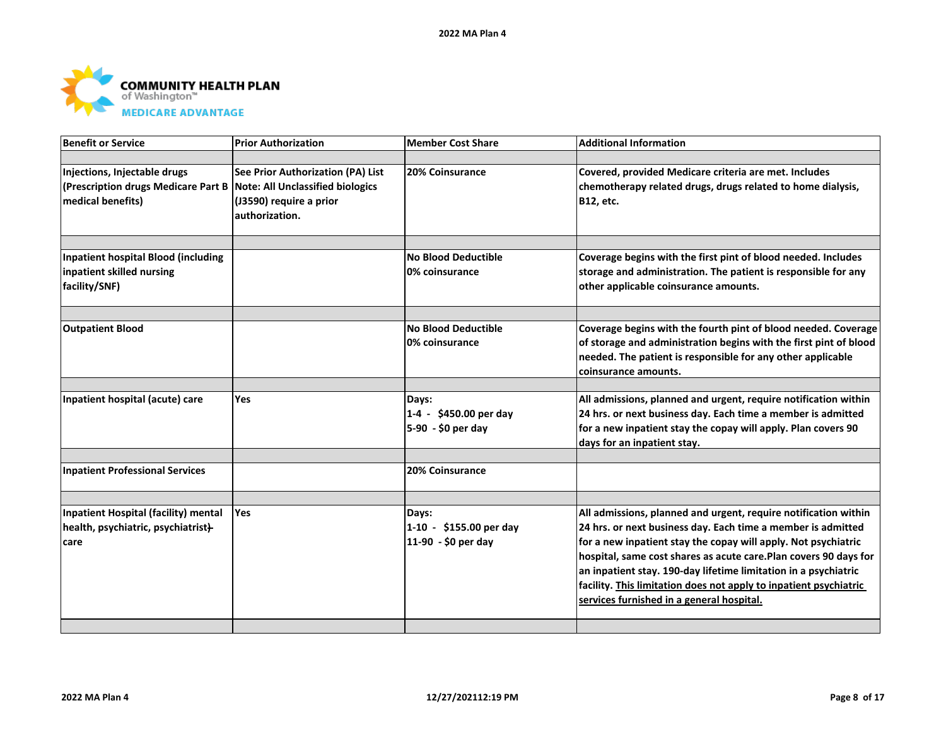

| Benefit or Service                                                                       | <b>Prior Authorization</b>                                                                                                | <b>Member Cost Share</b>                                 | <b>Additional Information</b>                                                                                                                                                                                                                                                                                                                                                                                                                              |
|------------------------------------------------------------------------------------------|---------------------------------------------------------------------------------------------------------------------------|----------------------------------------------------------|------------------------------------------------------------------------------------------------------------------------------------------------------------------------------------------------------------------------------------------------------------------------------------------------------------------------------------------------------------------------------------------------------------------------------------------------------------|
|                                                                                          |                                                                                                                           |                                                          |                                                                                                                                                                                                                                                                                                                                                                                                                                                            |
| Injections, Injectable drugs<br>(Prescription drugs Medicare Part B<br>medical benefits) | See Prior Authorization (PA) List<br><b>Note: All Unclassified biologics</b><br>(J3590) require a prior<br>authorization. | 20% Coinsurance                                          | Covered, provided Medicare criteria are met. Includes<br>chemotherapy related drugs, drugs related to home dialysis,<br>B12, etc.                                                                                                                                                                                                                                                                                                                          |
|                                                                                          |                                                                                                                           |                                                          |                                                                                                                                                                                                                                                                                                                                                                                                                                                            |
| Inpatient hospital Blood (including                                                      |                                                                                                                           | <b>No Blood Deductible</b>                               | Coverage begins with the first pint of blood needed. Includes                                                                                                                                                                                                                                                                                                                                                                                              |
| inpatient skilled nursing<br>facility/SNF)                                               |                                                                                                                           | 0% coinsurance                                           | storage and administration. The patient is responsible for any<br>other applicable coinsurance amounts.                                                                                                                                                                                                                                                                                                                                                    |
|                                                                                          |                                                                                                                           |                                                          |                                                                                                                                                                                                                                                                                                                                                                                                                                                            |
| <b>Outpatient Blood</b>                                                                  |                                                                                                                           | <b>No Blood Deductible</b><br>0% coinsurance             | Coverage begins with the fourth pint of blood needed. Coverage<br>of storage and administration begins with the first pint of blood<br>needed. The patient is responsible for any other applicable<br>coinsurance amounts.                                                                                                                                                                                                                                 |
|                                                                                          |                                                                                                                           |                                                          |                                                                                                                                                                                                                                                                                                                                                                                                                                                            |
| Inpatient hospital (acute) care                                                          | Yes                                                                                                                       | Days:<br>1-4 - \$450.00 per day<br>5-90 - \$0 per day    | All admissions, planned and urgent, require notification within<br>24 hrs. or next business day. Each time a member is admitted<br>for a new inpatient stay the copay will apply. Plan covers 90<br>days for an inpatient stay.                                                                                                                                                                                                                            |
|                                                                                          |                                                                                                                           |                                                          |                                                                                                                                                                                                                                                                                                                                                                                                                                                            |
| <b>Inpatient Professional Services</b>                                                   |                                                                                                                           | 20% Coinsurance                                          |                                                                                                                                                                                                                                                                                                                                                                                                                                                            |
|                                                                                          |                                                                                                                           |                                                          |                                                                                                                                                                                                                                                                                                                                                                                                                                                            |
| Inpatient Hospital (facility) mental<br>health, psychiatric, psychiatrist}-<br>care      | <b>Yes</b>                                                                                                                | Days:<br>$1-10 - $155.00$ per day<br>11-90 - \$0 per day | All admissions, planned and urgent, require notification within<br>24 hrs. or next business day. Each time a member is admitted<br>for a new inpatient stay the copay will apply. Not psychiatric<br>hospital, same cost shares as acute care.Plan covers 90 days for<br>an inpatient stay. 190-day lifetime limitation in a psychiatric<br>facility. This limitation does not apply to inpatient psychiatric<br>services furnished in a general hospital. |
|                                                                                          |                                                                                                                           |                                                          |                                                                                                                                                                                                                                                                                                                                                                                                                                                            |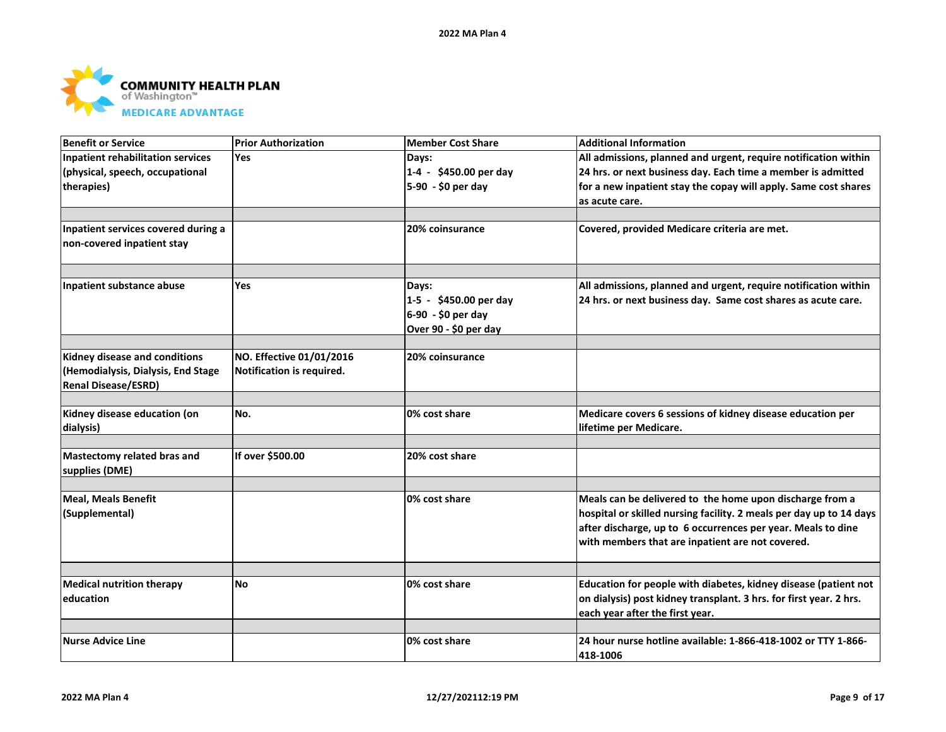

| <b>Benefit or Service</b>                | <b>Prior Authorization</b> | <b>Member Cost Share</b> | <b>Additional Information</b>                                       |
|------------------------------------------|----------------------------|--------------------------|---------------------------------------------------------------------|
| <b>Inpatient rehabilitation services</b> | <b>Yes</b>                 | Days:                    | All admissions, planned and urgent, require notification within     |
| (physical, speech, occupational          |                            | 1-4 - \$450.00 per day   | 24 hrs. or next business day. Each time a member is admitted        |
| therapies)                               |                            | 5-90 - \$0 per day       | for a new inpatient stay the copay will apply. Same cost shares     |
|                                          |                            |                          | as acute care.                                                      |
|                                          |                            |                          |                                                                     |
| Inpatient services covered during a      |                            | <b>20% coinsurance</b>   | Covered, provided Medicare criteria are met.                        |
| non-covered inpatient stay               |                            |                          |                                                                     |
|                                          |                            |                          |                                                                     |
|                                          |                            |                          |                                                                     |
| Inpatient substance abuse                | <b>Yes</b>                 | Days:                    | All admissions, planned and urgent, require notification within     |
|                                          |                            | 1-5 - \$450.00 per day   | 24 hrs. or next business day. Same cost shares as acute care.       |
|                                          |                            | 6-90 - \$0 per day       |                                                                     |
|                                          |                            | Over 90 - \$0 per day    |                                                                     |
|                                          |                            |                          |                                                                     |
| Kidney disease and conditions            | NO. Effective 01/01/2016   | 20% coinsurance          |                                                                     |
| (Hemodialysis, Dialysis, End Stage       | Notification is required.  |                          |                                                                     |
| <b>Renal Disease/ESRD)</b>               |                            |                          |                                                                     |
|                                          |                            |                          |                                                                     |
| Kidney disease education (on             | No.                        | 0% cost share            | Medicare covers 6 sessions of kidney disease education per          |
| dialysis)                                |                            |                          | lifetime per Medicare.                                              |
|                                          |                            |                          |                                                                     |
| Mastectomy related bras and              | If over \$500.00           | 20% cost share           |                                                                     |
| supplies (DME)                           |                            |                          |                                                                     |
|                                          |                            | 0% cost share            | Meals can be delivered to the home upon discharge from a            |
| <b>Meal, Meals Benefit</b>               |                            |                          |                                                                     |
| (Supplemental)                           |                            |                          | hospital or skilled nursing facility. 2 meals per day up to 14 days |
|                                          |                            |                          | after discharge, up to 6 occurrences per year. Meals to dine        |
|                                          |                            |                          | with members that are inpatient are not covered.                    |
|                                          |                            |                          |                                                                     |
| <b>Medical nutrition therapy</b>         | No                         | 0% cost share            | Education for people with diabetes, kidney disease (patient not     |
| education                                |                            |                          | on dialysis) post kidney transplant. 3 hrs. for first year. 2 hrs.  |
|                                          |                            |                          | each year after the first year.                                     |
|                                          |                            |                          |                                                                     |
| <b>Nurse Advice Line</b>                 |                            | 0% cost share            | 24 hour nurse hotline available: 1-866-418-1002 or TTY 1-866-       |
|                                          |                            |                          | 418-1006                                                            |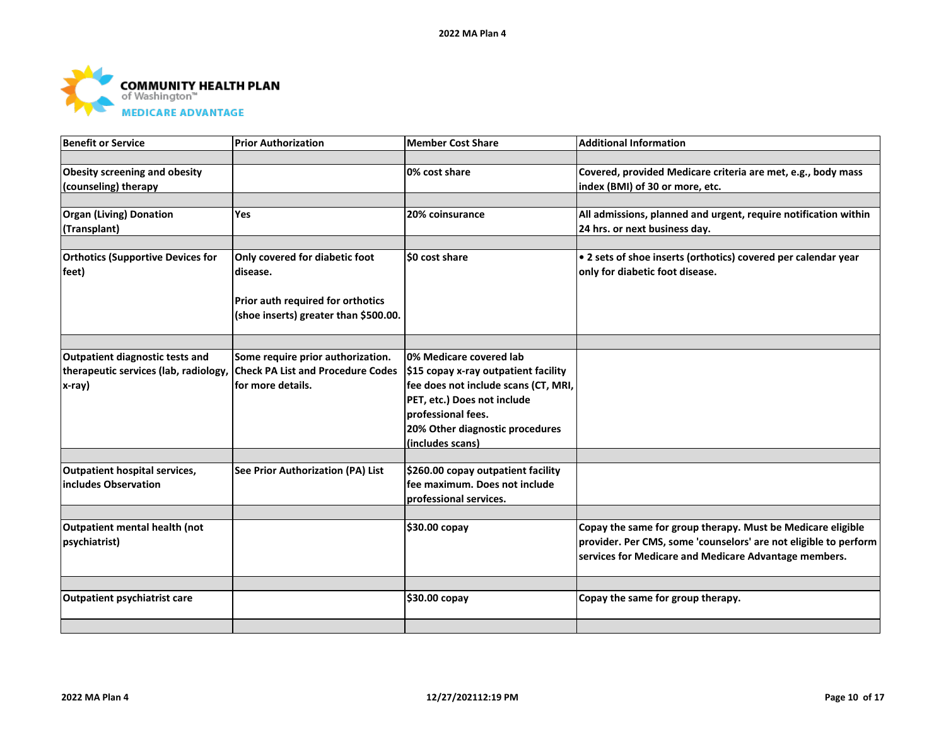

| <b>Benefit or Service</b>                | <b>Prior Authorization</b>               | <b>Member Cost Share</b>             | <b>Additional Information</b>                                    |
|------------------------------------------|------------------------------------------|--------------------------------------|------------------------------------------------------------------|
|                                          |                                          |                                      |                                                                  |
| Obesity screening and obesity            |                                          | 0% cost share                        | Covered, provided Medicare criteria are met, e.g., body mass     |
| (counseling) therapy                     |                                          |                                      | index (BMI) of 30 or more, etc.                                  |
|                                          |                                          |                                      |                                                                  |
| <b>Organ (Living) Donation</b>           | <b>Yes</b>                               | 20% coinsurance                      | All admissions, planned and urgent, require notification within  |
| (Transplant)                             |                                          |                                      | 24 hrs. or next business day.                                    |
|                                          |                                          |                                      |                                                                  |
| <b>Orthotics (Supportive Devices for</b> | Only covered for diabetic foot           | \$0 cost share                       | . 2 sets of shoe inserts (orthotics) covered per calendar year   |
| feet)                                    | disease.                                 |                                      | only for diabetic foot disease.                                  |
|                                          |                                          |                                      |                                                                  |
|                                          | Prior auth required for orthotics        |                                      |                                                                  |
|                                          | (shoe inserts) greater than \$500.00.    |                                      |                                                                  |
|                                          |                                          |                                      |                                                                  |
|                                          |                                          |                                      |                                                                  |
| Outpatient diagnostic tests and          | Some require prior authorization.        | 0% Medicare covered lab              |                                                                  |
| therapeutic services (lab, radiology,    | <b>Check PA List and Procedure Codes</b> | \$15 copay x-ray outpatient facility |                                                                  |
| x-ray)                                   | lfor more details.                       | fee does not include scans (CT, MRI, |                                                                  |
|                                          |                                          | PET, etc.) Does not include          |                                                                  |
|                                          |                                          | professional fees.                   |                                                                  |
|                                          |                                          | 20% Other diagnostic procedures      |                                                                  |
|                                          |                                          | (includes scans)                     |                                                                  |
|                                          |                                          |                                      |                                                                  |
| <b>Outpatient hospital services,</b>     | See Prior Authorization (PA) List        | \$260.00 copay outpatient facility   |                                                                  |
| includes Observation                     |                                          | fee maximum. Does not include        |                                                                  |
|                                          |                                          | professional services.               |                                                                  |
|                                          |                                          |                                      |                                                                  |
| Outpatient mental health (not            |                                          | \$30.00 copay                        | Copay the same for group therapy. Must be Medicare eligible      |
| psychiatrist)                            |                                          |                                      | provider. Per CMS, some 'counselors' are not eligible to perform |
|                                          |                                          |                                      | services for Medicare and Medicare Advantage members.            |
|                                          |                                          |                                      |                                                                  |
|                                          |                                          |                                      |                                                                  |
| Outpatient psychiatrist care             |                                          | \$30.00 copay                        | Copay the same for group therapy.                                |
|                                          |                                          |                                      |                                                                  |
|                                          |                                          |                                      |                                                                  |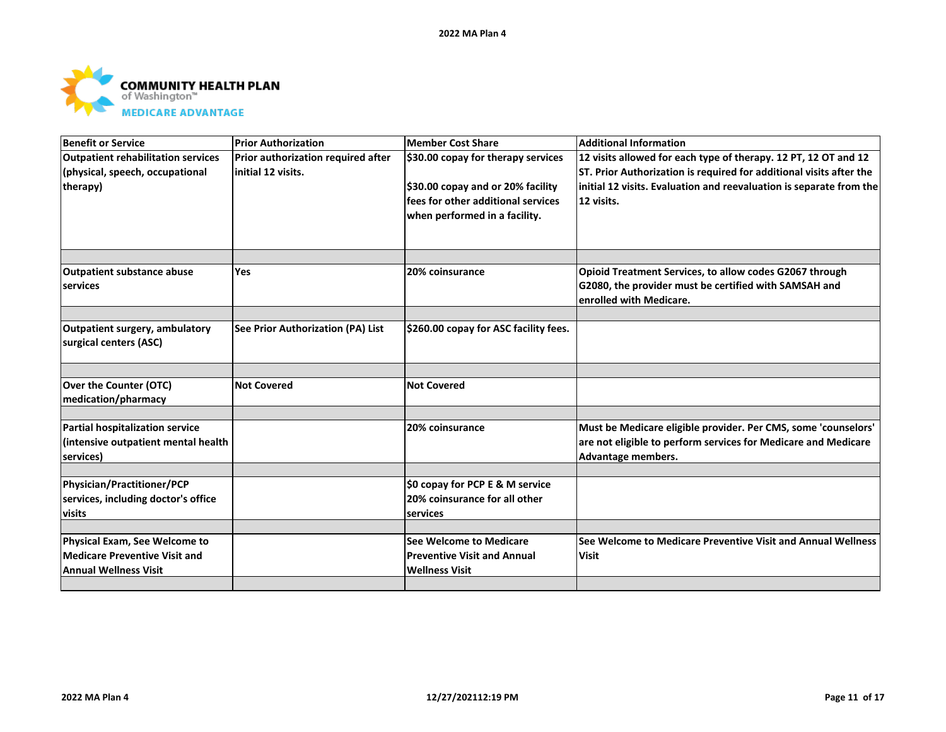

| Benefit or Service                        | <b>Prior Authorization</b>         | <b>Member Cost Share</b>              | <b>Additional Information</b>                                       |
|-------------------------------------------|------------------------------------|---------------------------------------|---------------------------------------------------------------------|
| <b>Outpatient rehabilitation services</b> | Prior authorization required after | \$30.00 copay for therapy services    | 12 visits allowed for each type of therapy. 12 PT, 12 OT and 12     |
| (physical, speech, occupational           | initial 12 visits.                 |                                       | ST. Prior Authorization is required for additional visits after the |
| therapy)                                  |                                    | \$30.00 copay and or 20% facility     | initial 12 visits. Evaluation and reevaluation is separate from the |
|                                           |                                    | fees for other additional services    | 12 visits.                                                          |
|                                           |                                    | when performed in a facility.         |                                                                     |
|                                           |                                    |                                       |                                                                     |
|                                           |                                    |                                       |                                                                     |
| <b>Outpatient substance abuse</b>         | Yes                                | 20% coinsurance                       | Opioid Treatment Services, to allow codes G2067 through             |
| services                                  |                                    |                                       | G2080, the provider must be certified with SAMSAH and               |
|                                           |                                    |                                       | enrolled with Medicare.                                             |
|                                           |                                    |                                       |                                                                     |
| <b>Outpatient surgery, ambulatory</b>     | See Prior Authorization (PA) List  | \$260.00 copay for ASC facility fees. |                                                                     |
| surgical centers (ASC)                    |                                    |                                       |                                                                     |
|                                           |                                    |                                       |                                                                     |
|                                           |                                    |                                       |                                                                     |
| Over the Counter (OTC)                    | <b>Not Covered</b>                 | <b>Not Covered</b>                    |                                                                     |
| medication/pharmacy                       |                                    |                                       |                                                                     |
|                                           |                                    |                                       |                                                                     |
| Partial hospitalization service           |                                    | 20% coinsurance                       | Must be Medicare eligible provider. Per CMS, some 'counselors'      |
| (intensive outpatient mental health       |                                    |                                       | are not eligible to perform services for Medicare and Medicare      |
| services)                                 |                                    |                                       | Advantage members.                                                  |
| Physician/Practitioner/PCP                |                                    | \$0 copay for PCP E & M service       |                                                                     |
| services, including doctor's office       |                                    | 20% coinsurance for all other         |                                                                     |
| visits                                    |                                    | services                              |                                                                     |
|                                           |                                    |                                       |                                                                     |
| Physical Exam, See Welcome to             |                                    | See Welcome to Medicare               | See Welcome to Medicare Preventive Visit and Annual Wellness        |
| Medicare Preventive Visit and             |                                    | <b>Preventive Visit and Annual</b>    | <b>Visit</b>                                                        |
| <b>Annual Wellness Visit</b>              |                                    | <b>Wellness Visit</b>                 |                                                                     |
|                                           |                                    |                                       |                                                                     |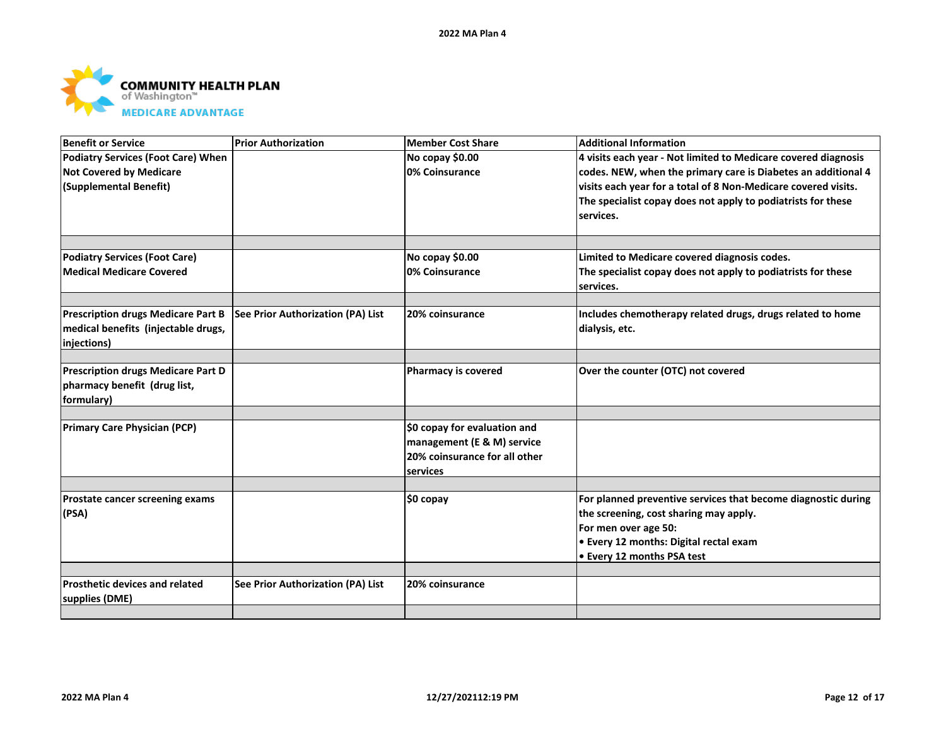

| <b>Benefit or Service</b>                 | <b>Prior Authorization</b>        | <b>Member Cost Share</b>      | <b>Additional Information</b>                                  |
|-------------------------------------------|-----------------------------------|-------------------------------|----------------------------------------------------------------|
| <b>Podiatry Services (Foot Care) When</b> |                                   | No copay \$0.00               | 4 visits each year - Not limited to Medicare covered diagnosis |
| <b>Not Covered by Medicare</b>            |                                   | 0% Coinsurance                | codes. NEW, when the primary care is Diabetes an additional 4  |
| (Supplemental Benefit)                    |                                   |                               | visits each year for a total of 8 Non-Medicare covered visits. |
|                                           |                                   |                               | The specialist copay does not apply to podiatrists for these   |
|                                           |                                   |                               | services.                                                      |
|                                           |                                   |                               |                                                                |
| <b>Podiatry Services (Foot Care)</b>      |                                   | No copay \$0.00               | Limited to Medicare covered diagnosis codes.                   |
| <b>Medical Medicare Covered</b>           |                                   | 0% Coinsurance                | The specialist copay does not apply to podiatrists for these   |
|                                           |                                   |                               | services.                                                      |
|                                           |                                   |                               |                                                                |
| <b>Prescription drugs Medicare Part B</b> | See Prior Authorization (PA) List | 20% coinsurance               | Includes chemotherapy related drugs, drugs related to home     |
| medical benefits (injectable drugs,       |                                   |                               | dialysis, etc.                                                 |
| injections)                               |                                   |                               |                                                                |
| <b>Prescription drugs Medicare Part D</b> |                                   | <b>Pharmacy is covered</b>    | Over the counter (OTC) not covered                             |
| pharmacy benefit (drug list,              |                                   |                               |                                                                |
| formulary)                                |                                   |                               |                                                                |
|                                           |                                   |                               |                                                                |
| <b>Primary Care Physician (PCP)</b>       |                                   | \$0 copay for evaluation and  |                                                                |
|                                           |                                   | management (E & M) service    |                                                                |
|                                           |                                   | 20% coinsurance for all other |                                                                |
|                                           |                                   | services                      |                                                                |
|                                           |                                   |                               |                                                                |
| Prostate cancer screening exams           |                                   | \$0 copay                     | For planned preventive services that become diagnostic during  |
| (PSA)                                     |                                   |                               | the screening, cost sharing may apply.                         |
|                                           |                                   |                               | For men over age 50:                                           |
|                                           |                                   |                               | • Every 12 months: Digital rectal exam                         |
|                                           |                                   |                               | • Every 12 months PSA test                                     |
|                                           |                                   |                               |                                                                |
| <b>Prosthetic devices and related</b>     | See Prior Authorization (PA) List | 20% coinsurance               |                                                                |
| supplies (DME)                            |                                   |                               |                                                                |
|                                           |                                   |                               |                                                                |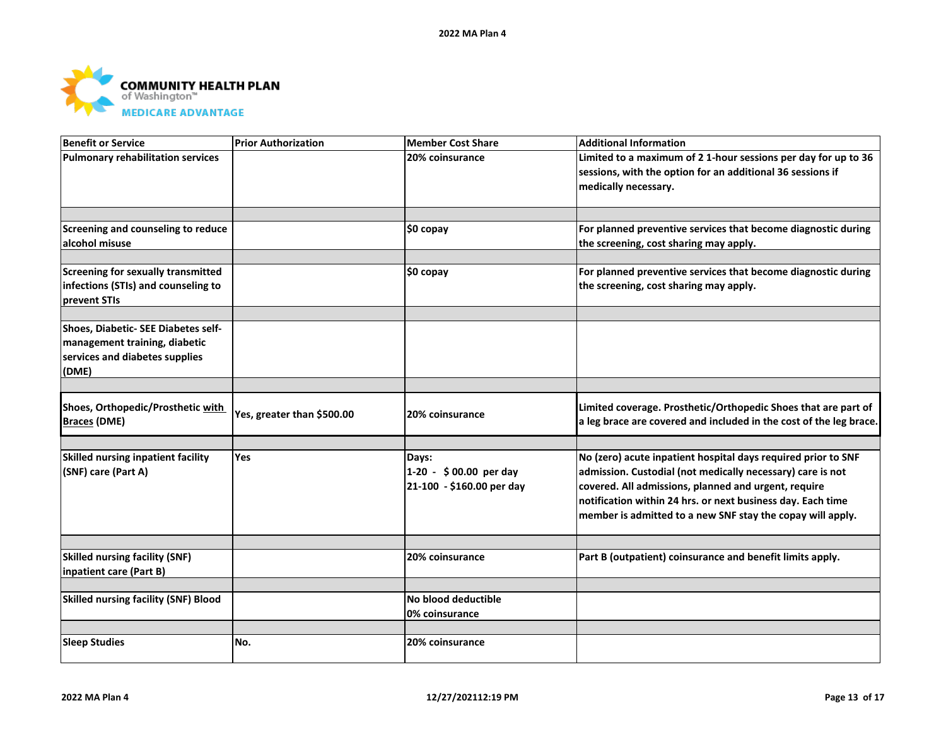

| <b>Benefit or Service</b>                                                                                       | <b>Prior Authorization</b> | <b>Member Cost Share</b>                                     | <b>Additional Information</b>                                                                                                                                                                                                                                                                                    |
|-----------------------------------------------------------------------------------------------------------------|----------------------------|--------------------------------------------------------------|------------------------------------------------------------------------------------------------------------------------------------------------------------------------------------------------------------------------------------------------------------------------------------------------------------------|
| <b>Pulmonary rehabilitation services</b>                                                                        |                            | 20% coinsurance                                              | Limited to a maximum of 2 1-hour sessions per day for up to 36<br>sessions, with the option for an additional 36 sessions if<br>medically necessary.                                                                                                                                                             |
|                                                                                                                 |                            |                                                              |                                                                                                                                                                                                                                                                                                                  |
| Screening and counseling to reduce<br>alcohol misuse                                                            |                            | \$0 copay                                                    | For planned preventive services that become diagnostic during<br>the screening, cost sharing may apply.                                                                                                                                                                                                          |
| Screening for sexually transmitted<br>infections (STIs) and counseling to<br>prevent STIs                       |                            | \$0 copay                                                    | For planned preventive services that become diagnostic during<br>the screening, cost sharing may apply.                                                                                                                                                                                                          |
|                                                                                                                 |                            |                                                              |                                                                                                                                                                                                                                                                                                                  |
| Shoes, Diabetic- SEE Diabetes self-<br>management training, diabetic<br>services and diabetes supplies<br>(DME) |                            |                                                              |                                                                                                                                                                                                                                                                                                                  |
|                                                                                                                 |                            |                                                              |                                                                                                                                                                                                                                                                                                                  |
| Shoes, Orthopedic/Prosthetic with<br><b>Braces (DME)</b>                                                        | Yes, greater than \$500.00 | 20% coinsurance                                              | Limited coverage. Prosthetic/Orthopedic Shoes that are part of<br>a leg brace are covered and included in the cost of the leg brace.                                                                                                                                                                             |
|                                                                                                                 |                            |                                                              |                                                                                                                                                                                                                                                                                                                  |
| Skilled nursing inpatient facility<br>(SNF) care (Part A)                                                       | Yes                        | Days:<br>1-20 - \$00.00 per day<br>21-100 - \$160.00 per day | No (zero) acute inpatient hospital days required prior to SNF<br>admission. Custodial (not medically necessary) care is not<br>covered. All admissions, planned and urgent, require<br>notification within 24 hrs. or next business day. Each time<br>member is admitted to a new SNF stay the copay will apply. |
|                                                                                                                 |                            |                                                              |                                                                                                                                                                                                                                                                                                                  |
| <b>Skilled nursing facility (SNF)</b><br>inpatient care (Part B)                                                |                            | 20% coinsurance                                              | Part B (outpatient) coinsurance and benefit limits apply.                                                                                                                                                                                                                                                        |
|                                                                                                                 |                            |                                                              |                                                                                                                                                                                                                                                                                                                  |
| <b>Skilled nursing facility (SNF) Blood</b>                                                                     |                            | No blood deductible<br>0% coinsurance                        |                                                                                                                                                                                                                                                                                                                  |
|                                                                                                                 |                            |                                                              |                                                                                                                                                                                                                                                                                                                  |
| <b>Sleep Studies</b>                                                                                            | No.                        | 20% coinsurance                                              |                                                                                                                                                                                                                                                                                                                  |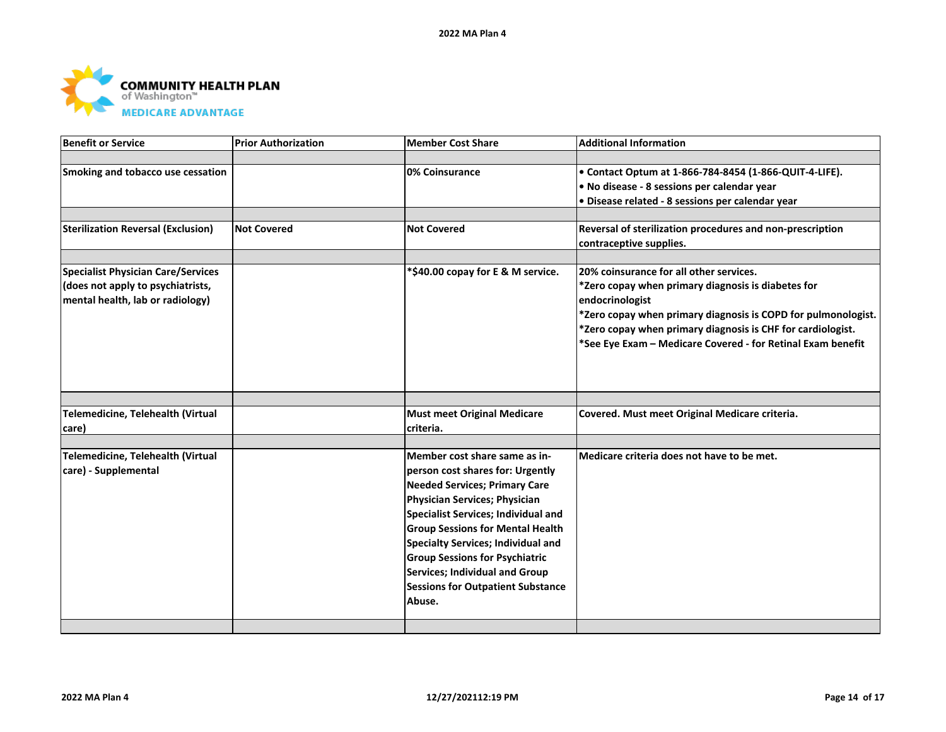

| <b>Benefit or Service</b>                 | <b>Prior Authorization</b> | <b>Member Cost Share</b>                   | <b>Additional Information</b>                                 |
|-------------------------------------------|----------------------------|--------------------------------------------|---------------------------------------------------------------|
|                                           |                            |                                            |                                                               |
| Smoking and tobacco use cessation         |                            | 0% Coinsurance                             | • Contact Optum at 1-866-784-8454 (1-866-QUIT-4-LIFE).        |
|                                           |                            |                                            | . No disease - 8 sessions per calendar year                   |
|                                           |                            |                                            | · Disease related - 8 sessions per calendar year              |
|                                           |                            |                                            |                                                               |
| <b>Sterilization Reversal (Exclusion)</b> | <b>Not Covered</b>         | <b>Not Covered</b>                         | Reversal of sterilization procedures and non-prescription     |
|                                           |                            |                                            | contraceptive supplies.                                       |
|                                           |                            |                                            |                                                               |
| <b>Specialist Physician Care/Services</b> |                            | *\$40.00 copay for E & M service.          | 20% coinsurance for all other services.                       |
| (does not apply to psychiatrists,         |                            |                                            | *Zero copay when primary diagnosis is diabetes for            |
| mental health, lab or radiology)          |                            |                                            | endocrinologist                                               |
|                                           |                            |                                            | *Zero copay when primary diagnosis is COPD for pulmonologist. |
|                                           |                            |                                            | *Zero copay when primary diagnosis is CHF for cardiologist.   |
|                                           |                            |                                            | *See Eye Exam - Medicare Covered - for Retinal Exam benefit   |
|                                           |                            |                                            |                                                               |
|                                           |                            |                                            |                                                               |
|                                           |                            |                                            |                                                               |
| Telemedicine, Telehealth (Virtual         |                            | <b>Must meet Original Medicare</b>         | Covered. Must meet Original Medicare criteria.                |
| care)                                     |                            | criteria.                                  |                                                               |
|                                           |                            |                                            |                                                               |
| Telemedicine, Telehealth (Virtual         |                            | Member cost share same as in-              | Medicare criteria does not have to be met.                    |
| care) - Supplemental                      |                            | person cost shares for: Urgently           |                                                               |
|                                           |                            | <b>Needed Services; Primary Care</b>       |                                                               |
|                                           |                            | Physician Services; Physician              |                                                               |
|                                           |                            | <b>Specialist Services; Individual and</b> |                                                               |
|                                           |                            | <b>Group Sessions for Mental Health</b>    |                                                               |
|                                           |                            | <b>Specialty Services; Individual and</b>  |                                                               |
|                                           |                            | <b>Group Sessions for Psychiatric</b>      |                                                               |
|                                           |                            | <b>Services; Individual and Group</b>      |                                                               |
|                                           |                            | <b>Sessions for Outpatient Substance</b>   |                                                               |
|                                           |                            | Abuse.                                     |                                                               |
|                                           |                            |                                            |                                                               |
|                                           |                            |                                            |                                                               |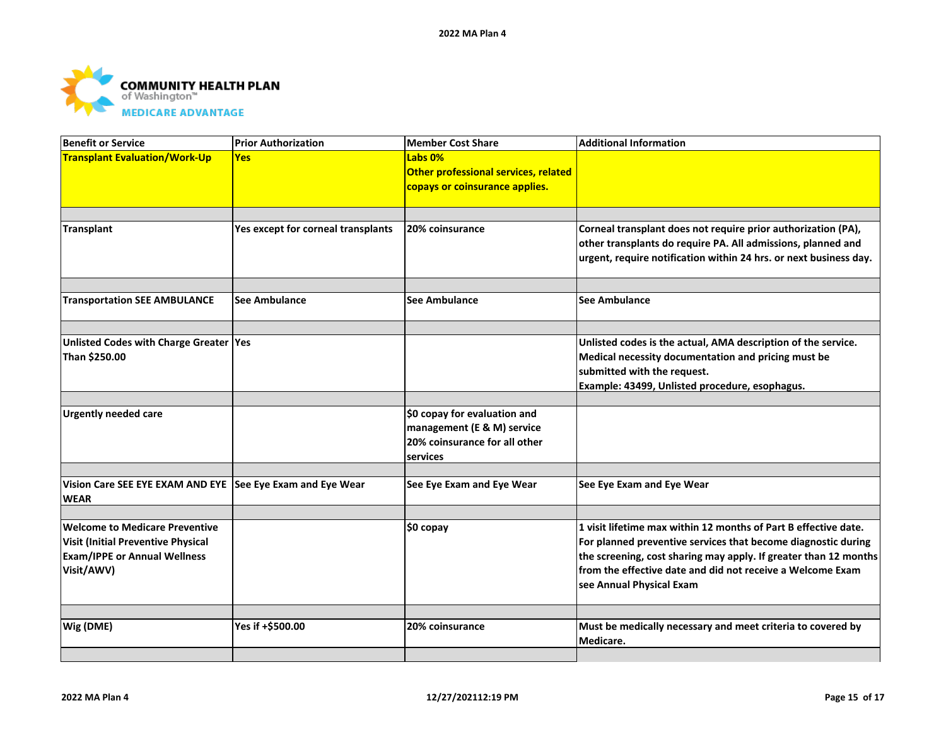

| <b>Benefit or Service</b>                                                                                                               | <b>Prior Authorization</b>         | <b>Member Cost Share</b>                                                                                | <b>Additional Information</b>                                                                                                                                                                                                                                                                  |
|-----------------------------------------------------------------------------------------------------------------------------------------|------------------------------------|---------------------------------------------------------------------------------------------------------|------------------------------------------------------------------------------------------------------------------------------------------------------------------------------------------------------------------------------------------------------------------------------------------------|
| <b>Transplant Evaluation/Work-Up</b>                                                                                                    | <b>Yes</b>                         | Labs <sub>0%</sub><br>Other professional services, related<br>copays or coinsurance applies.            |                                                                                                                                                                                                                                                                                                |
|                                                                                                                                         |                                    |                                                                                                         |                                                                                                                                                                                                                                                                                                |
| <b>Transplant</b>                                                                                                                       | Yes except for corneal transplants | 20% coinsurance                                                                                         | Corneal transplant does not require prior authorization (PA),<br>other transplants do require PA. All admissions, planned and<br>urgent, require notification within 24 hrs. or next business day.                                                                                             |
|                                                                                                                                         |                                    |                                                                                                         |                                                                                                                                                                                                                                                                                                |
| <b>Transportation SEE AMBULANCE</b>                                                                                                     | <b>See Ambulance</b>               | <b>See Ambulance</b>                                                                                    | <b>See Ambulance</b>                                                                                                                                                                                                                                                                           |
|                                                                                                                                         |                                    |                                                                                                         |                                                                                                                                                                                                                                                                                                |
| Unlisted Codes with Charge Greater Yes<br>Than \$250.00                                                                                 |                                    |                                                                                                         | Unlisted codes is the actual, AMA description of the service.<br>Medical necessity documentation and pricing must be<br>submitted with the request.<br>Example: 43499, Unlisted procedure, esophagus.                                                                                          |
|                                                                                                                                         |                                    |                                                                                                         |                                                                                                                                                                                                                                                                                                |
| <b>Urgently needed care</b>                                                                                                             |                                    | \$0 copay for evaluation and<br>management (E & M) service<br>20% coinsurance for all other<br>services |                                                                                                                                                                                                                                                                                                |
|                                                                                                                                         |                                    |                                                                                                         |                                                                                                                                                                                                                                                                                                |
| Vision Care SEE EYE EXAM AND EYE See Eye Exam and Eye Wear<br><b>WEAR</b>                                                               |                                    | See Eye Exam and Eye Wear                                                                               | See Eye Exam and Eye Wear                                                                                                                                                                                                                                                                      |
| <b>Welcome to Medicare Preventive</b><br><b>Visit (Initial Preventive Physical</b><br><b>Exam/IPPE or Annual Wellness</b><br>Visit/AWV) |                                    | \$0 copay                                                                                               | 1 visit lifetime max within 12 months of Part B effective date.<br>For planned preventive services that become diagnostic during<br>the screening, cost sharing may apply. If greater than 12 months<br>from the effective date and did not receive a Welcome Exam<br>see Annual Physical Exam |
|                                                                                                                                         |                                    |                                                                                                         |                                                                                                                                                                                                                                                                                                |
| Wig (DME)                                                                                                                               | Yes if +\$500.00                   | 20% coinsurance                                                                                         | Must be medically necessary and meet criteria to covered by<br>Medicare.                                                                                                                                                                                                                       |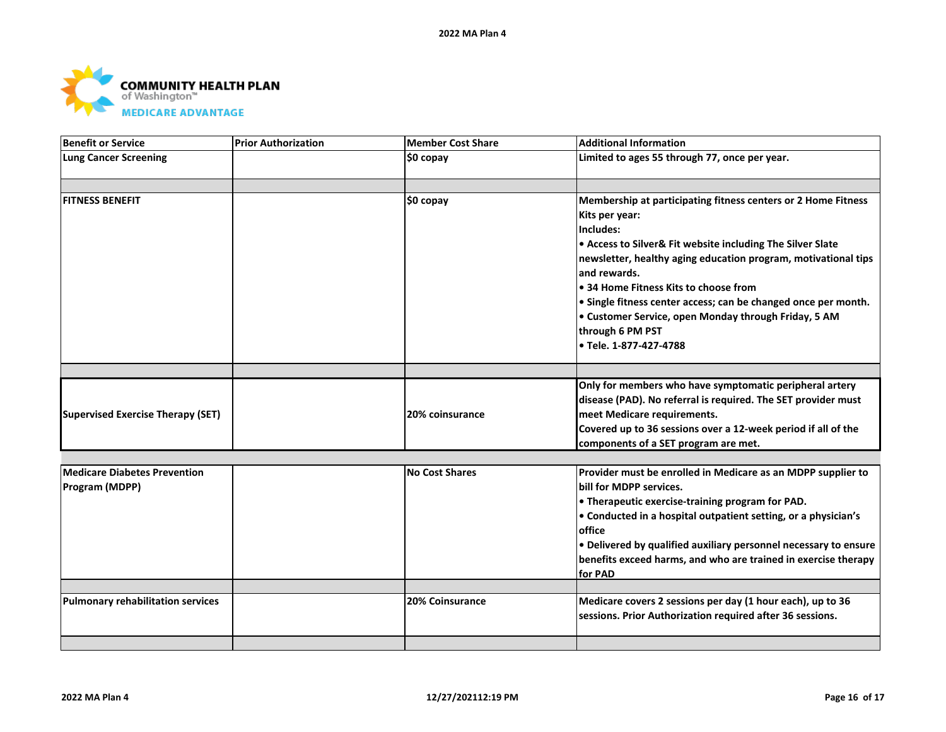

| Benefit or Service                                           | <b>Prior Authorization</b> | Member Cost Share     | <b>Additional Information</b>                                                                                                                                                                                                                                                                                                                                                                                                                                 |
|--------------------------------------------------------------|----------------------------|-----------------------|---------------------------------------------------------------------------------------------------------------------------------------------------------------------------------------------------------------------------------------------------------------------------------------------------------------------------------------------------------------------------------------------------------------------------------------------------------------|
| <b>Lung Cancer Screening</b>                                 |                            | ∣\$0 copay            | Limited to ages 55 through 77, once per year.                                                                                                                                                                                                                                                                                                                                                                                                                 |
|                                                              |                            |                       |                                                                                                                                                                                                                                                                                                                                                                                                                                                               |
| <b>FITNESS BENEFIT</b>                                       |                            | \$0 copay             | Membership at participating fitness centers or 2 Home Fitness<br>Kits per year:<br>Includes:<br>• Access to Silver& Fit website including The Silver Slate<br>newsletter, healthy aging education program, motivational tips<br>and rewards.<br>• 34 Home Fitness Kits to choose from<br>• Single fitness center access; can be changed once per month.<br>• Customer Service, open Monday through Friday, 5 AM<br>through 6 PM PST<br>• Tele. 1-877-427-4788 |
|                                                              |                            |                       |                                                                                                                                                                                                                                                                                                                                                                                                                                                               |
| <b>Supervised Exercise Therapy (SET)</b>                     |                            | 20% coinsurance       | Only for members who have symptomatic peripheral artery<br>disease (PAD). No referral is required. The SET provider must<br>meet Medicare requirements.<br>Covered up to 36 sessions over a 12-week period if all of the<br>components of a SET program are met.                                                                                                                                                                                              |
|                                                              |                            |                       |                                                                                                                                                                                                                                                                                                                                                                                                                                                               |
| <b>Medicare Diabetes Prevention</b><br><b>Program (MDPP)</b> |                            | <b>No Cost Shares</b> | Provider must be enrolled in Medicare as an MDPP supplier to<br>bill for MDPP services.<br>• Therapeutic exercise-training program for PAD.<br>• Conducted in a hospital outpatient setting, or a physician's<br>office<br>. Delivered by qualified auxiliary personnel necessary to ensure<br>benefits exceed harms, and who are trained in exercise therapy<br>for PAD                                                                                      |
| <b>Pulmonary rehabilitation services</b>                     |                            | 20% Coinsurance       | Medicare covers 2 sessions per day (1 hour each), up to 36                                                                                                                                                                                                                                                                                                                                                                                                    |
|                                                              |                            |                       | sessions. Prior Authorization required after 36 sessions.                                                                                                                                                                                                                                                                                                                                                                                                     |
|                                                              |                            |                       |                                                                                                                                                                                                                                                                                                                                                                                                                                                               |